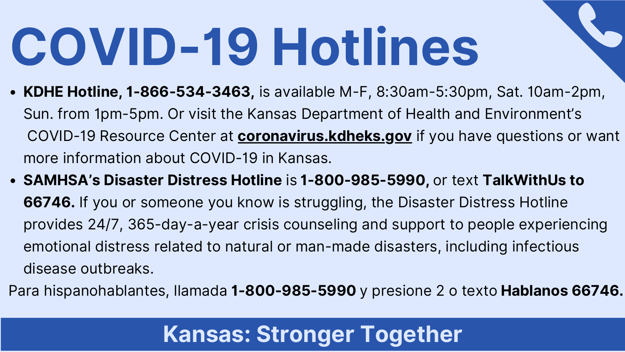- **KDHE Hotline, 1-866-534-3463,** is available M-F, 8:30am-5:30pm, Sat. 10am-2pm, Sun. from 1pm-5pm. Or visit the Kansas Department of Health and Environment's COVID-19 Resource Center at **coronavirus.kdheks.gov** if you have questions or want more information about COVID-19 in Kansas.
- **SAMHSA's Disaster Distress Hotline** is **1-800-985-5990,** or text **TalkWithUs to 66746.** If you or someone you know is struggling, the Disaster Distress Hotline provides 24/7, 365-day-a-year crisis counseling and support to people experiencing emotional distress related to natural or man-made disasters, including infectious disease outbreaks.

Para hispanohablantes, llamada **1-800-985-5990** y presione 2 o texto **Hablanos 66746.** 

# **COVID-19 Hotlines**

### **Kansas: Stronger Together**



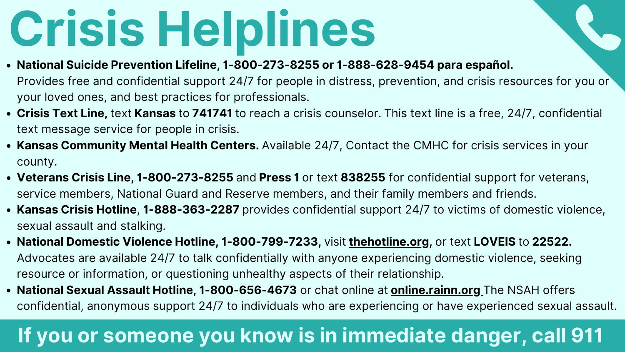- **National Suicide Prevention Lifeline, 1-800-273-8255 or 1-888-628-9454 para español.** Provides free and confidential support 24/7 for people in distress, prevention, and crisis resources for you or your loved ones, and best practices for professionals.
- **Crisis Text Line,** text **Kansas** to **741741** to reach a crisis counselor. This text line is a free, 24/7, confidential text message service for people in crisis.
- **Kansas Community Mental Health Centers.** Available 24/7, Contact the CMHC for crisis services in your county.
- **Veterans Crisis Line, 1-800-273-8255** and **Press 1** or text **838255** for confidential support for veterans, service members, National Guard and Reserve members, and their family members and friends.
- **Kansas Crisis Hotline**, **1-888-363-2287** provides confidential support 24/7 to victims of domestic violence, sexual assault and stalking.
- **National Domestic Violence Hotline, 1-800-799-7233,** visit **thehotline.org,** or text **LOVEIS** to **22522.** Advocates are available 24/7 to talk confidentially with anyone experiencing domestic violence, seeking resource or information, or questioning unhealthy aspects of their relationship.
- **National Sexual Assault Hotline, 1-800-656-4673** or chat online at **online.rainn.org** The NSAH offers confidential, anonymous support 24/7 to individuals who are experiencing or have experienced sexual assault.

### **If you or someone you know is in immediate danger, call 911**

## **Crisis Helplines**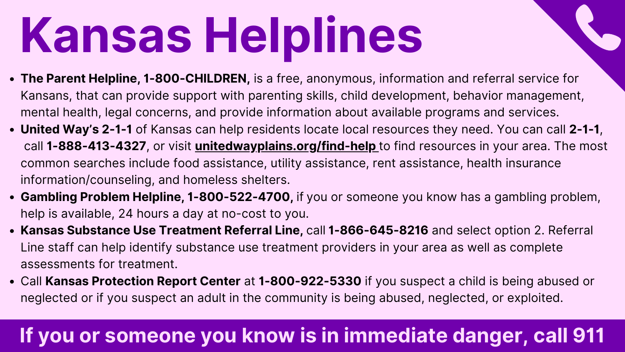- **The Parent Helpline, 1-800-CHILDREN,** is a free, anonymous, information and referral service for Kansans, that can provide support with parenting skills, child development, behavior management, mental health, legal concerns, and provide information about available programs and services.
- **United Way's 2-1-1** of Kansas can help residents locate local resources they need. You can call **2-1-1**, call **1-888-413-4327**, or visit **unitedwayplains.org/find-help** to find resources in your area. The most common searches include food assistance, utility assistance, rent assistance, health insurance information/counseling, and homeless shelters.
- **Gambling Problem Helpline, 1-800-522-4700,** if you or someone you know has a gambling problem, help is available, 24 hours a day at no-cost to you.
- **Kansas Substance Use Treatment Referral Line,** call **1-866-645-8216** and select option 2. Referral Line staff can help identify substance use treatment providers in your area as well as complete assessments for treatment.
- Call **Kansas Protection Report Center** at **1-800-922-5330** if you suspect a child is being abused or neglected or if you suspect an adult in the community is being abused, neglected, or exploited.

# **Kansas Helplines**

### **If you or someone you know is in immediate danger, call 911**

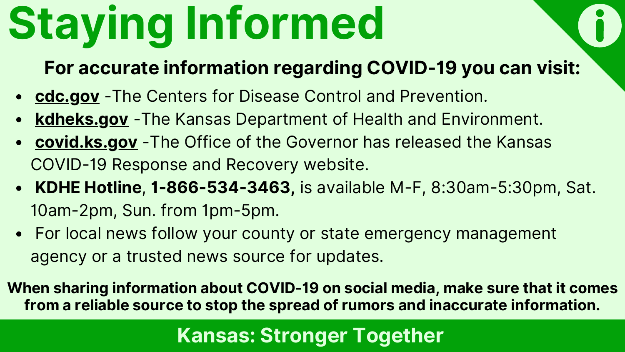## **Staying Informed**

- **cdc.gov** -The Centers for Disease Control and Prevention.
- **kdheks.gov** -The Kansas Department of Health and Environment.
- **covid.ks.gov** -The Office of the Governor has released the Kansas COVID-19 Response and Recovery website.
- **KDHE Hotline**, **1-866-534-3463,** is available M-F, 8:30am-5:30pm, Sat. 10am-2pm, Sun. from 1pm-5pm.
- For local news follow your county or state emergency management agency or a trusted news source for updates.

**When sharing information about COVID-19 on social media, make sure that it comes from a reliable source to stop the spread of rumors and inaccurate information.**

### **For accurate information regarding COVID-19 you can visit:**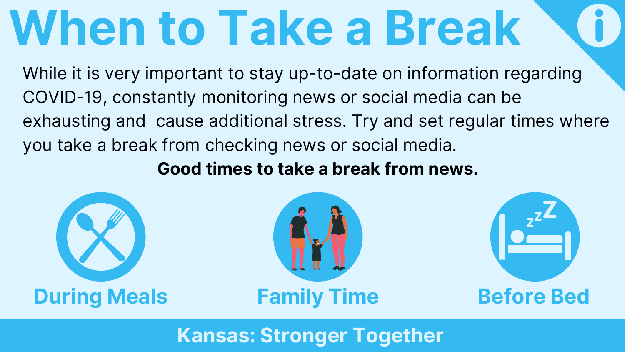While it is very important to stay up-to-date on information regarding COVID-19, constantly monitoring news or social media can be exhausting and cause additional stress. Try and set regular times where you take a break from checking news or social media. **Good times to take a break from news.**

**Kansas: Stronger Together**





## **When to Take a Break**

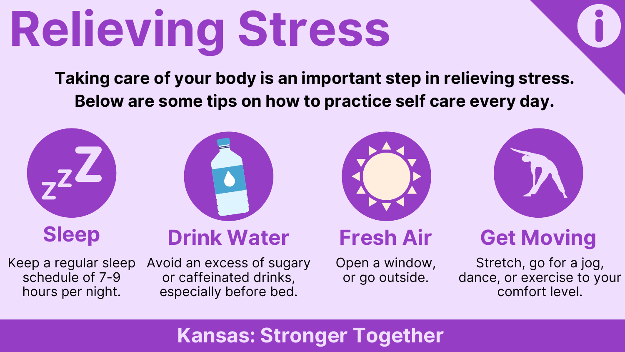# **Relieving Stress**

**Taking care of your body is an important step in relieving stress. Below are some tips on how to practice self care every day.**

Keep a regular sleep Avoid an excess of sugary Open a window,<br>schedule of 7-9 or caffeinated drinks, or go outside. or caffeinated drinks, especially before bed.

Open a window,<br>or go outside.

### **Kansas: Stronger Together**



schedule of 7-9 hours per night.

Stretch, go for a jog, dance, or exercise to your comfort level.

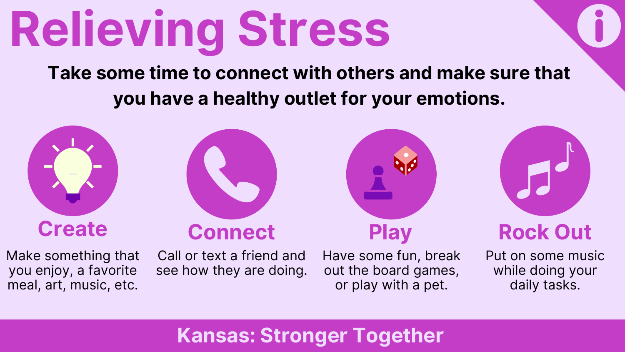

### **Take some time to connect with others and make sure that you have a healthy outlet for your emotions.**







### **Kansas: Stronger Together**

### **Create Connect Play Rock** Out

out the board games, or play with a pet.

Make something that you enjoy, a favorite meal, art, music, etc.

Call or text a friend and Have some fun, break see how they are doing.

Put on some music while doing your daily tasks.

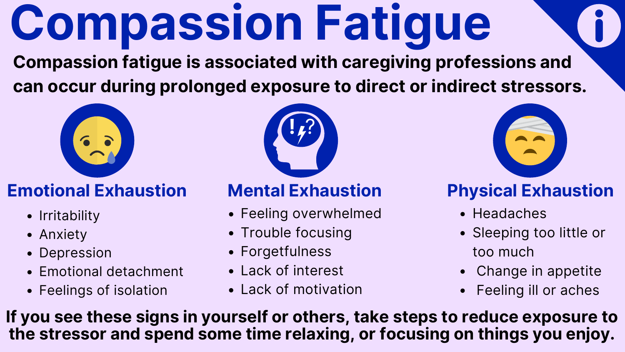

## **Compassion Fatigue Compassion fatigue is associated with caregiving professions and can occur during prolonged exposure to direct or indirect stressors.**



### **Emotional Exhaustion**

- Irritability
- Anxiety
- Depression
- Emotional detachment
- Feelings of isolation
- Feeling overwhelmed
- Trouble focusing
- Forgetfulness
- Lack of interest
- Lack of motivation

### Sleeping too little or too much

• Headaches

- Change in appetite
- Feeling ill or aches

### **Mental Exhaustion Physical Exhaustion**



**If you see these signs in yourself or others, take steps to reduce exposure to the stressor and spend some time relaxing, or focusing on things you enjoy.**

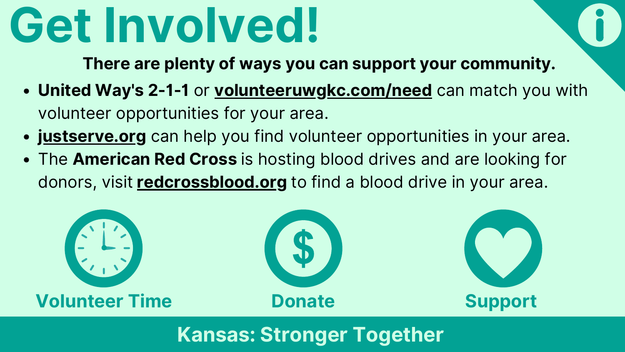- **United Way's 2-1-1** or **volunteeruwgkc.com/need** can match you with volunteer opportunities for your area.
- **justserve.org** can help you find volunteer opportunities in your area.
- The **American Red Cross** is hosting blood drives and are looking for donors, visit **redcrossblood.org** to find a blood drive in your area.

**There are plenty of ways you can support your community.**



**Kansas: Stronger Together**





## **Get Involved!**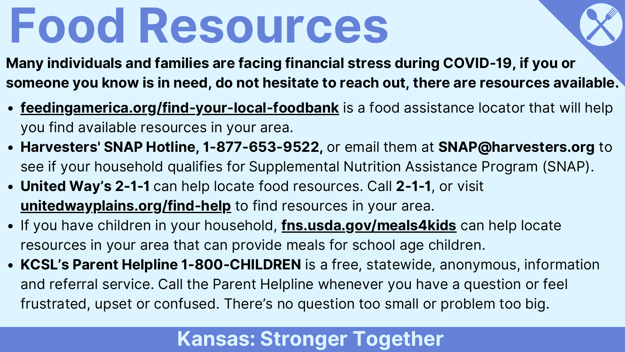- **feedingamerica.org/find-your-local-foodbank** is a food assistance locator that will help you find available resources in your area.
- **Harvesters' SNAP Hotline, 1-877-653-9522,** or email them at **SNAP@harvesters.org** to see if your household qualifies for Supplemental Nutrition Assistance Program (SNAP).
- **United Way's 2-1-1** can help locate food resources. Call **2-1-1**, or visit **unitedwayplains.org/find-help** to find resources in your area.
- If you have children in your household, **fns.usda.gov/meals4kids** can help locate resources in your area that can provide meals for school age children.
- **KCSL's Parent Helpline 1-800-CHILDREN** is a free, statewide, anonymous, information and referral service. Call the Parent Helpline whenever you have a question or feel frustrated, upset or confused. There's no question too small or problem too big.

**Many individuals and families are facing financial stress during COVID-19, if you or someone you know is in need, do not hesitate to reach out, there are resources available.**

### **Kansas: Stronger Together**





## **Food Resources**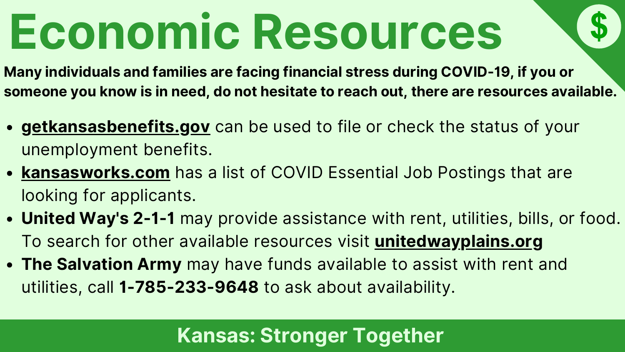- **getkansasbenefits.gov** can be used to file or check the status of your unemployment benefits.
- **kansasworks.com** has a list of COVID Essential Job Postings that are looking for applicants.
- To search for other available resources visit **unitedwayplains.org** utilities, call **1-785-233-9648** to ask about availability.
- **United Way's 2-1-1** may provide assistance with rent, utilities, bills, or food. **The Salvation Army** may have funds available to assist with rent and

**Many individuals and families are facing financial stress during COVID-19, if you or someone you know is in need, do not hesitate to reach out, there are resources available.**

### **Kansas: Stronger Together**



# **Economic Resources**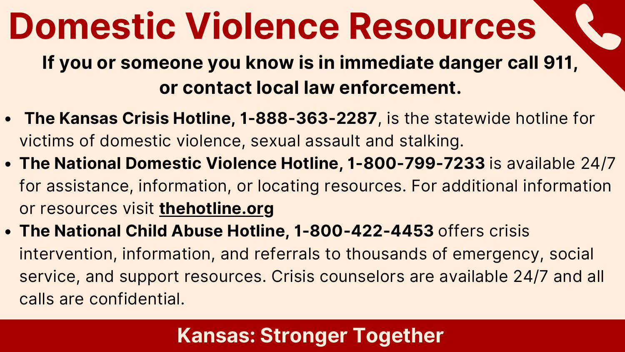- **The Kansas Crisis Hotline, 1-888-363-2287**, is the statewide hotline for victims of domestic violence, sexual assault and stalking.
- **The National Domestic Violence Hotline, 1-800-799-7233** is available 24/7 for assistance, information, or locating resources. For additional information or resources visit **thehotline.org**
- **The National Child Abuse Hotline, 1-800-422-4453** offers crisis intervention, information, and referrals to thousands of emergency, social service, and support resources. Crisis counselors are available 24/7 and all calls are confidential.



## **Domestic Violence Resources**

**If you or someone you know is in immediate danger call 911, or contact local law enforcement.**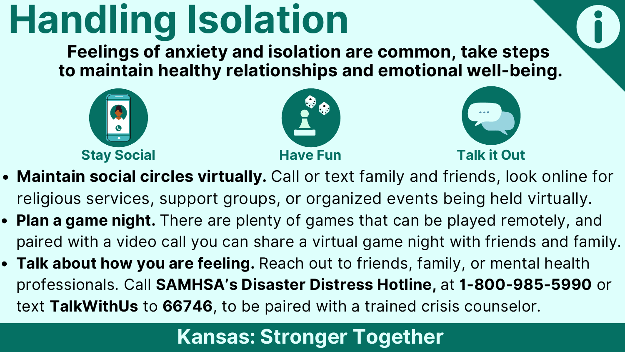- **Maintain social circles virtually.** Call or text family and friends, look online for religious services, support groups, or organized events being held virtually.
- **Plan a game night.** There are plenty of games that can be played remotely, and paired with a video call you can share a virtual game night with friends and family.
- **Talk about how you are feeling.** Reach out to friends, family, or mental health professionals. Call **SAMHSA's Disaster Distress Hotline,** at **1-800-985-5990** or text **TalkWithUs** to **66746**, to be paired with a trained crisis counselor.



## **Handling Isolation**





**Feelings of anxiety and isolation are common, take steps to maintain healthy relationships and emotional well-being.**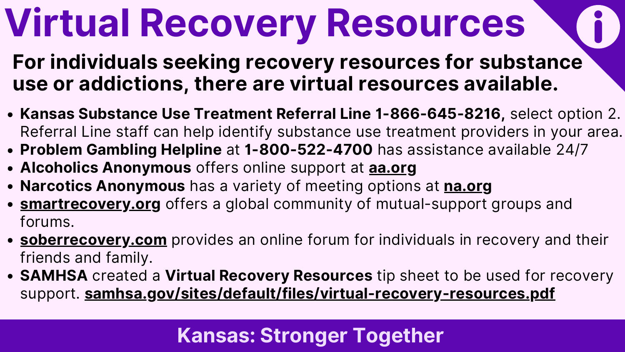- **Kansas Substance Use Treatment Referral Line 1-866-645-8216,** select option 2. Referral Line staff can help identify substance use treatment providers in your area. **Problem Gambling Helpline** at **1-800-522-4700** has assistance available 24/7
- 
- **Alcoholics Anonymous** offers online support at **aa.org**
- **Narcotics Anonymous** has a variety of meeting options at **na.org**
- **smartrecovery.org** offers a global community of mutual-support groups and forums.
- **soberrecovery.com** provides an online forum for individuals in recovery and their friends and family.
- **SAMHSA** created a **Virtual Recovery Resources** tip sheet to be used for recovery support. **samhsa.gov/sites/default/files/virtual-recovery-resources.pdf**



## **Virtual Recovery Resources**

**For individuals seeking recovery resources for substance use or addictions, there are virtual resources available.**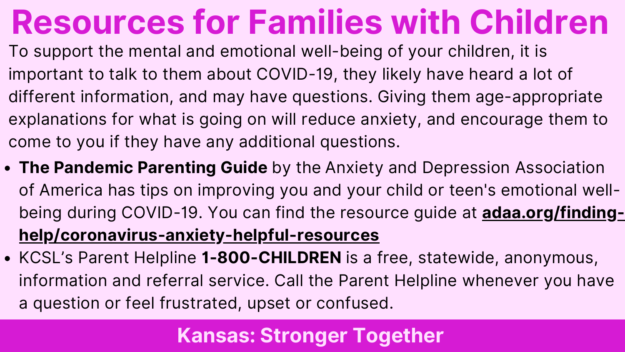- **The Pandemic Parenting Guide** by the Anxiety and Depression Association of America has tips on improving you and your child or teen's emotional wellbeing during COVID-19. You can find the resource guide at **adaa.org/findinghelp/coronavirus-anxiety-helpful-resources**
- KCSL's Parent Helpline **1-800-CHILDREN** is a free, statewide, anonymous, information and referral service. Call the Parent Helpline whenever you have a question or feel frustrated, upset or confused.

## **Resources for Families with Children**

To support the mental and emotional well-being of your children, it is important to talk to them about COVID-19, they likely have heard a lot of different information, and may have questions. Giving them age-appropriate explanations for what is going on will reduce anxiety, and encourage them to come to you if they have any additional questions.